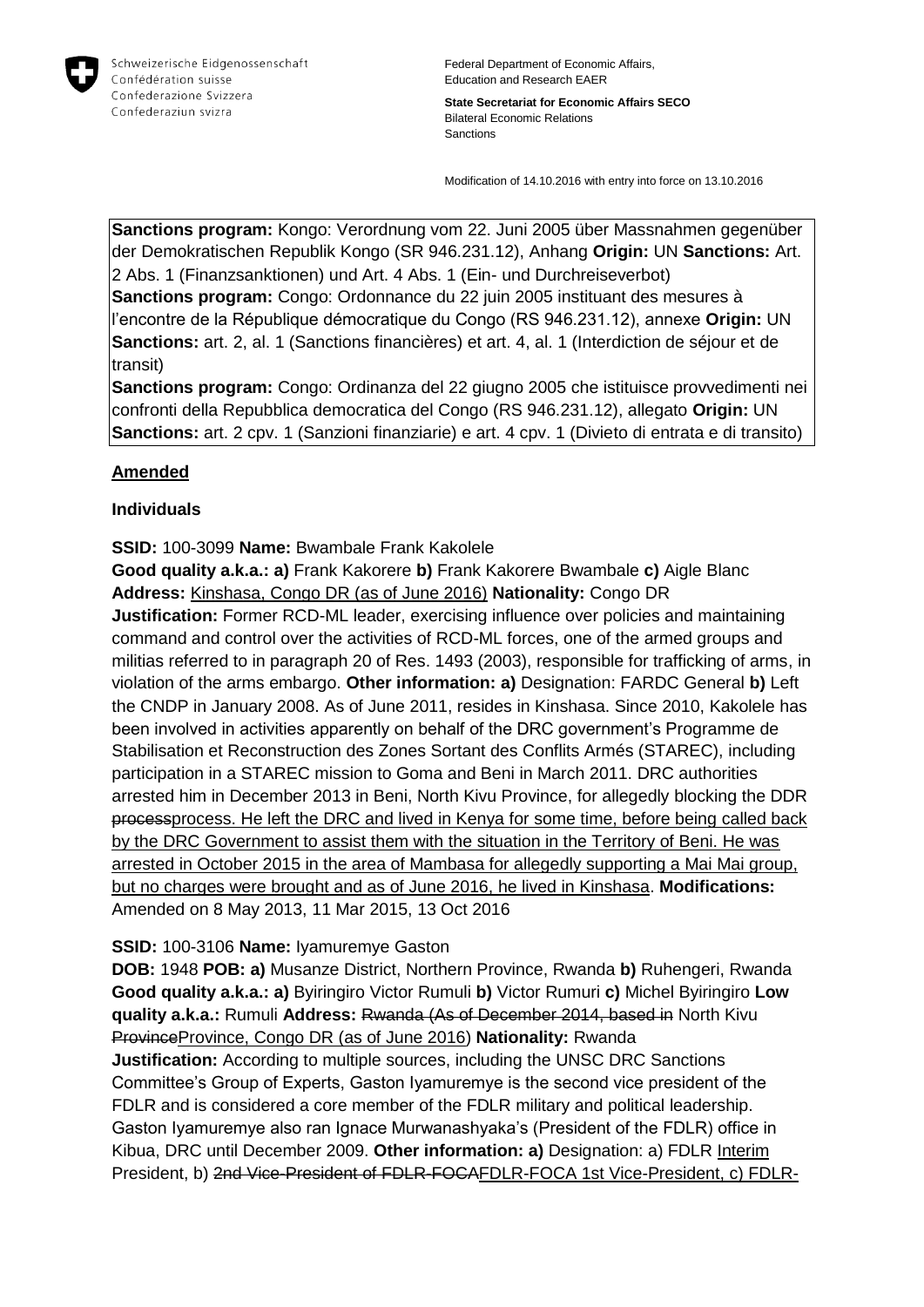

**State Secretariat for Economic Affairs SECO** Bilateral Economic Relations Sanctions

Modification of 14.10.2016 with entry into force on 13.10.2016

**Sanctions program:** Kongo: Verordnung vom 22. Juni 2005 über Massnahmen gegenüber der Demokratischen Republik Kongo (SR 946.231.12), Anhang **Origin:** UN **Sanctions:** Art. 2 Abs. 1 (Finanzsanktionen) und Art. 4 Abs. 1 (Ein- und Durchreiseverbot) **Sanctions program:** Congo: Ordonnance du 22 juin 2005 instituant des mesures à l'encontre de la République démocratique du Congo (RS 946.231.12), annexe **Origin:** UN **Sanctions:** art. 2, al. 1 (Sanctions financières) et art. 4, al. 1 (Interdiction de séjour et de transit)

**Sanctions program:** Congo: Ordinanza del 22 giugno 2005 che istituisce provvedimenti nei confronti della Repubblica democratica del Congo (RS 946.231.12), allegato **Origin:** UN **Sanctions:** art. 2 cpv. 1 (Sanzioni finanziarie) e art. 4 cpv. 1 (Divieto di entrata e di transito)

# **Amended**

## **Individuals**

## **SSID:** 100-3099 **Name:** Bwambale Frank Kakolele

**Good quality a.k.a.: a)** Frank Kakorere **b)** Frank Kakorere Bwambale **c)** Aigle Blanc **Address:** Kinshasa, Congo DR (as of June 2016) **Nationality:** Congo DR

**Justification:** Former RCD-ML leader, exercising influence over policies and maintaining command and control over the activities of RCD-ML forces, one of the armed groups and militias referred to in paragraph 20 of Res. 1493 (2003), responsible for trafficking of arms, in violation of the arms embargo. **Other information: a)** Designation: FARDC General **b)** Left the CNDP in January 2008. As of June 2011, resides in Kinshasa. Since 2010, Kakolele has been involved in activities apparently on behalf of the DRC government's Programme de Stabilisation et Reconstruction des Zones Sortant des Conflits Armés (STAREC), including participation in a STAREC mission to Goma and Beni in March 2011. DRC authorities arrested him in December 2013 in Beni, North Kivu Province, for allegedly blocking the DDR processprocess. He left the DRC and lived in Kenya for some time, before being called back by the DRC Government to assist them with the situation in the Territory of Beni. He was arrested in October 2015 in the area of Mambasa for allegedly supporting a Mai Mai group, but no charges were brought and as of June 2016, he lived in Kinshasa. **Modifications:**  Amended on 8 May 2013, 11 Mar 2015, 13 Oct 2016

# **SSID:** 100-3106 **Name:** Iyamuremye Gaston

**DOB:** 1948 **POB: a)** Musanze District, Northern Province, Rwanda **b)** Ruhengeri, Rwanda **Good quality a.k.a.: a)** Byiringiro Victor Rumuli **b)** Victor Rumuri **c)** Michel Byiringiro **Low quality a.k.a.:** Rumuli **Address:** Rwanda (As of December 2014, based in North Kivu ProvinceProvince, Congo DR (as of June 2016) Nationality: Rwanda

**Justification:** According to multiple sources, including the UNSC DRC Sanctions Committee's Group of Experts, Gaston Iyamuremye is the second vice president of the FDLR and is considered a core member of the FDLR military and political leadership. Gaston Iyamuremye also ran Ignace Murwanashyaka's (President of the FDLR) office in Kibua, DRC until December 2009. **Other information: a)** Designation: a) FDLR Interim President, b) 2nd Vice-President of FDLR-FOCAFDLR-FOCA 1st Vice-President, c) FDLR-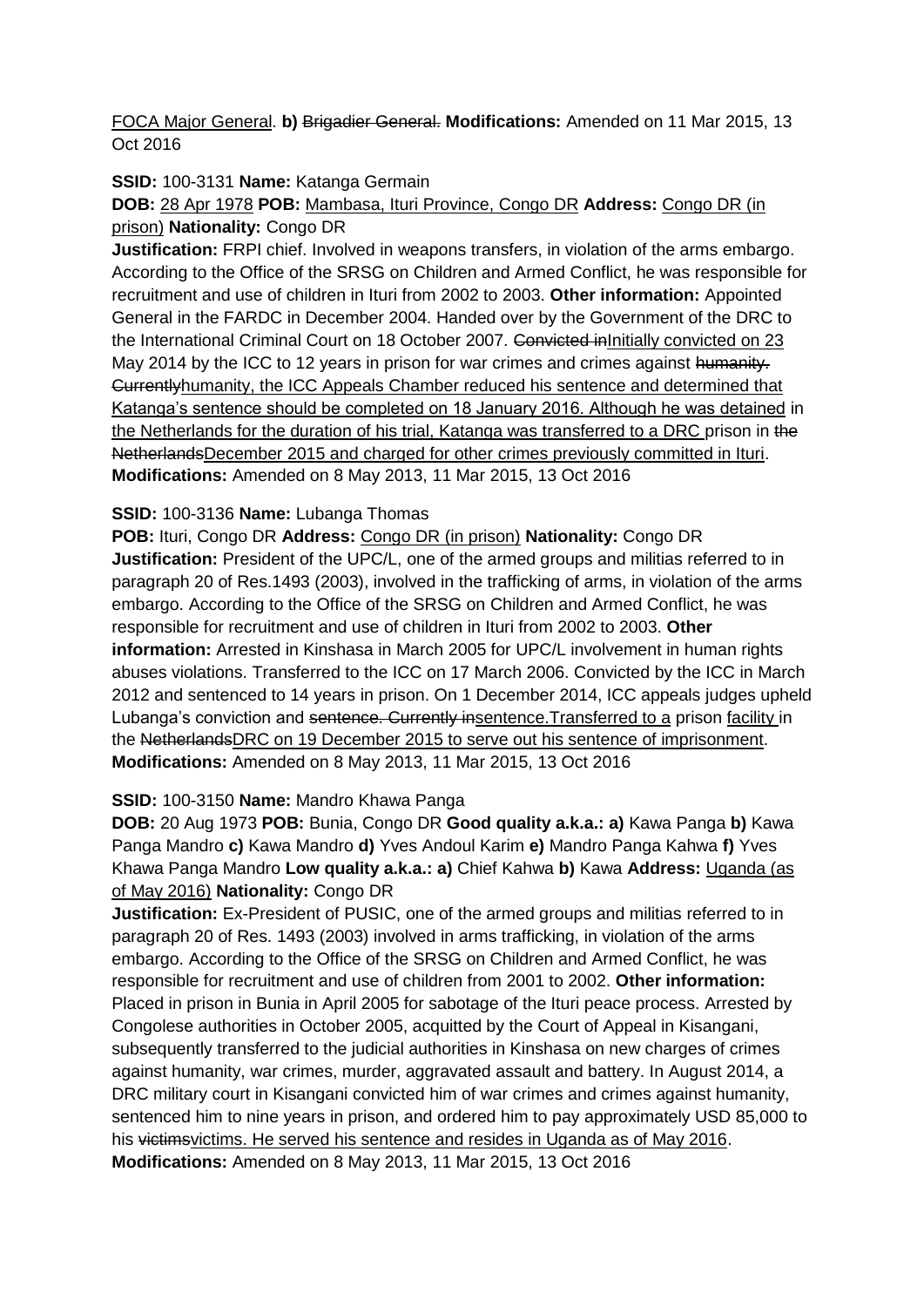FOCA Major General. **b)** Brigadier General. **Modifications:** Amended on 11 Mar 2015, 13 Oct 2016

**SSID:** 100-3131 **Name:** Katanga Germain

**DOB:** 28 Apr 1978 **POB:** Mambasa, Ituri Province, Congo DR **Address:** Congo DR (in prison) **Nationality:** Congo DR

**Justification:** FRPI chief. Involved in weapons transfers, in violation of the arms embargo. According to the Office of the SRSG on Children and Armed Conflict, he was responsible for recruitment and use of children in Ituri from 2002 to 2003. **Other information:** Appointed General in the FARDC in December 2004. Handed over by the Government of the DRC to the International Criminal Court on 18 October 2007. Convicted inInitially convicted on 23 May 2014 by the ICC to 12 years in prison for war crimes and crimes against humanity. Currentlyhumanity, the ICC Appeals Chamber reduced his sentence and determined that Katanga's sentence should be completed on 18 January 2016. Although he was detained in the Netherlands for the duration of his trial, Katanga was transferred to a DRC prison in the NetherlandsDecember 2015 and charged for other crimes previously committed in Ituri. **Modifications:** Amended on 8 May 2013, 11 Mar 2015, 13 Oct 2016

# **SSID:** 100-3136 **Name:** Lubanga Thomas

**POB:** Ituri, Congo DR **Address:** Congo DR (in prison) **Nationality:** Congo DR **Justification:** President of the UPC/L, one of the armed groups and militias referred to in paragraph 20 of Res.1493 (2003), involved in the trafficking of arms, in violation of the arms embargo. According to the Office of the SRSG on Children and Armed Conflict, he was responsible for recruitment and use of children in Ituri from 2002 to 2003. **Other information:** Arrested in Kinshasa in March 2005 for UPC/L involvement in human rights abuses violations. Transferred to the ICC on 17 March 2006. Convicted by the ICC in March 2012 and sentenced to 14 years in prison. On 1 December 2014, ICC appeals judges upheld Lubanga's conviction and sentence. Currently insentence. Transferred to a prison facility in the NetherlandsDRC on 19 December 2015 to serve out his sentence of imprisonment. **Modifications:** Amended on 8 May 2013, 11 Mar 2015, 13 Oct 2016

# **SSID:** 100-3150 **Name:** Mandro Khawa Panga

**DOB:** 20 Aug 1973 **POB:** Bunia, Congo DR **Good quality a.k.a.: a)** Kawa Panga **b)** Kawa Panga Mandro **c)** Kawa Mandro **d)** Yves Andoul Karim **e)** Mandro Panga Kahwa **f)** Yves Khawa Panga Mandro **Low quality a.k.a.: a)** Chief Kahwa **b)** Kawa **Address:** Uganda (as of May 2016) **Nationality:** Congo DR

**Justification:** Ex-President of PUSIC, one of the armed groups and militias referred to in paragraph 20 of Res. 1493 (2003) involved in arms trafficking, in violation of the arms embargo. According to the Office of the SRSG on Children and Armed Conflict, he was responsible for recruitment and use of children from 2001 to 2002. **Other information:** Placed in prison in Bunia in April 2005 for sabotage of the Ituri peace process. Arrested by Congolese authorities in October 2005, acquitted by the Court of Appeal in Kisangani, subsequently transferred to the judicial authorities in Kinshasa on new charges of crimes against humanity, war crimes, murder, aggravated assault and battery. In August 2014, a DRC military court in Kisangani convicted him of war crimes and crimes against humanity, sentenced him to nine years in prison, and ordered him to pay approximately USD 85,000 to his victims victims. He served his sentence and resides in Uganda as of May 2016. **Modifications:** Amended on 8 May 2013, 11 Mar 2015, 13 Oct 2016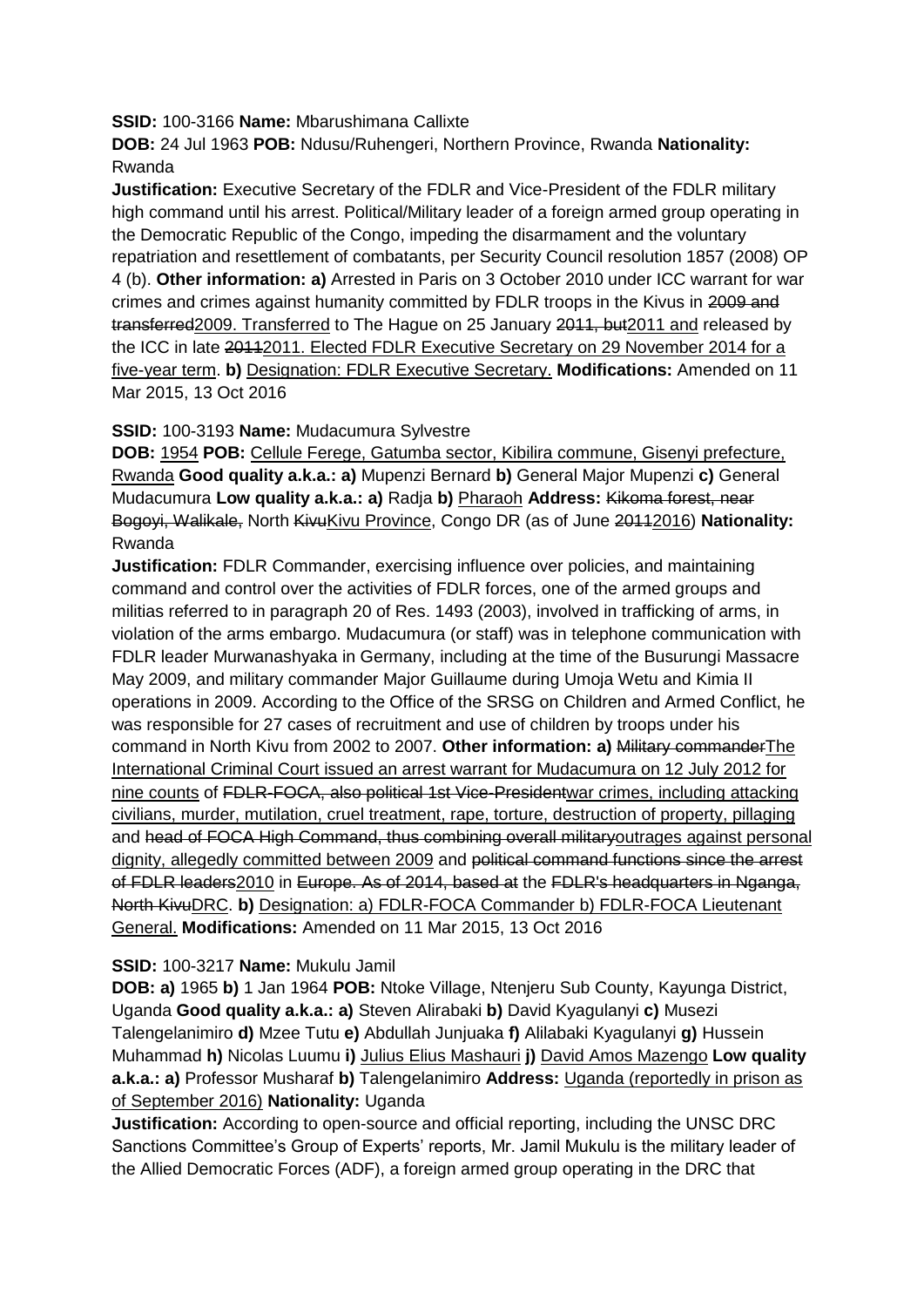**SSID:** 100-3166 **Name:** Mbarushimana Callixte

**DOB:** 24 Jul 1963 **POB:** Ndusu/Ruhengeri, Northern Province, Rwanda **Nationality:** Rwanda

**Justification:** Executive Secretary of the FDLR and Vice-President of the FDLR military high command until his arrest. Political/Military leader of a foreign armed group operating in the Democratic Republic of the Congo, impeding the disarmament and the voluntary repatriation and resettlement of combatants, per Security Council resolution 1857 (2008) OP 4 (b). **Other information: a)** Arrested in Paris on 3 October 2010 under ICC warrant for war crimes and crimes against humanity committed by FDLR troops in the Kivus in 2009 and transferred2009. Transferred to The Hague on 25 January 2011, but2011 and released by the ICC in late 20112011. Elected FDLR Executive Secretary on 29 November 2014 for a five-year term. **b)** Designation: FDLR Executive Secretary. **Modifications:** Amended on 11 Mar 2015, 13 Oct 2016

**SSID:** 100-3193 **Name:** Mudacumura Sylvestre

**DOB:** 1954 **POB:** Cellule Ferege, Gatumba sector, Kibilira commune, Gisenyi prefecture, Rwanda **Good quality a.k.a.: a)** Mupenzi Bernard **b)** General Major Mupenzi **c)** General Mudacumura **Low quality a.k.a.: a)** Radja **b)** Pharaoh **Address:** Kikoma forest, near Bogoyi, Walikale, North KivuKivu Province, Congo DR (as of June 20112016) **Nationality:** Rwanda

**Justification:** FDLR Commander, exercising influence over policies, and maintaining command and control over the activities of FDLR forces, one of the armed groups and militias referred to in paragraph 20 of Res. 1493 (2003), involved in trafficking of arms, in violation of the arms embargo. Mudacumura (or staff) was in telephone communication with FDLR leader Murwanashyaka in Germany, including at the time of the Busurungi Massacre May 2009, and military commander Major Guillaume during Umoja Wetu and Kimia II operations in 2009. According to the Office of the SRSG on Children and Armed Conflict, he was responsible for 27 cases of recruitment and use of children by troops under his command in North Kivu from 2002 to 2007. **Other information: a)** Military commanderThe International Criminal Court issued an arrest warrant for Mudacumura on 12 July 2012 for nine counts of FDLR-FOCA, also political 1st Vice-Presidentwar crimes, including attacking civilians, murder, mutilation, cruel treatment, rape, torture, destruction of property, pillaging and head of FOCA High Command, thus combining overall militaryoutrages against personal dignity, allegedly committed between 2009 and political command functions since the arrest of FDLR leaders2010 in Europe. As of 2014, based at the FDLR's headquarters in Nganga, North KivuDRC. **b)** Designation: a) FDLR-FOCA Commander b) FDLR-FOCA Lieutenant General. **Modifications:** Amended on 11 Mar 2015, 13 Oct 2016

## **SSID:** 100-3217 **Name:** Mukulu Jamil

**DOB: a)** 1965 **b)** 1 Jan 1964 **POB:** Ntoke Village, Ntenjeru Sub County, Kayunga District, Uganda **Good quality a.k.a.: a)** Steven Alirabaki **b)** David Kyagulanyi **c)** Musezi Talengelanimiro **d)** Mzee Tutu **e)** Abdullah Junjuaka **f)** Alilabaki Kyagulanyi **g)** Hussein Muhammad **h)** Nicolas Luumu **i)** Julius Elius Mashauri **j)** David Amos Mazengo **Low quality a.k.a.: a)** Professor Musharaf **b)** Talengelanimiro **Address:** Uganda (reportedly in prison as of September 2016) **Nationality:** Uganda

**Justification:** According to open-source and official reporting, including the UNSC DRC Sanctions Committee's Group of Experts' reports, Mr. Jamil Mukulu is the military leader of the Allied Democratic Forces (ADF), a foreign armed group operating in the DRC that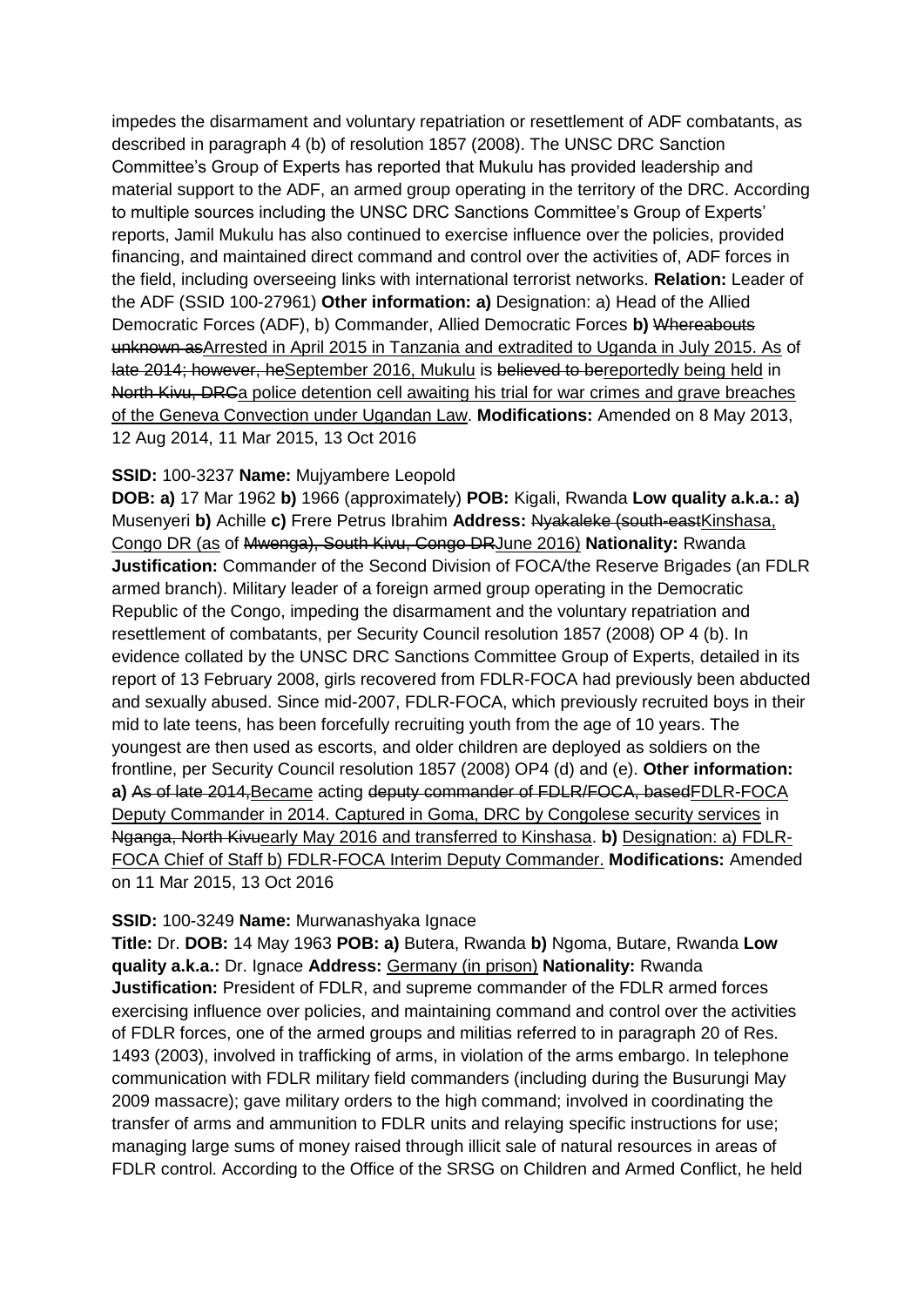impedes the disarmament and voluntary repatriation or resettlement of ADF combatants, as described in paragraph 4 (b) of resolution 1857 (2008). The UNSC DRC Sanction Committee's Group of Experts has reported that Mukulu has provided leadership and material support to the ADF, an armed group operating in the territory of the DRC. According to multiple sources including the UNSC DRC Sanctions Committee's Group of Experts' reports, Jamil Mukulu has also continued to exercise influence over the policies, provided financing, and maintained direct command and control over the activities of, ADF forces in the field, including overseeing links with international terrorist networks. **Relation:** Leader of the ADF (SSID 100-27961) **Other information: a)** Designation: a) Head of the Allied Democratic Forces (ADF), b) Commander, Allied Democratic Forces **b)** Whereabouts unknown asArrested in April 2015 in Tanzania and extradited to Uganda in July 2015. As of late 2014; however, heSeptember 2016, Mukulu is believed to bereportedly being held in North Kivu, DRCa police detention cell awaiting his trial for war crimes and grave breaches of the Geneva Convection under Ugandan Law. **Modifications:** Amended on 8 May 2013, 12 Aug 2014, 11 Mar 2015, 13 Oct 2016

## **SSID:** 100-3237 **Name:** Mujyambere Leopold

**DOB: a)** 17 Mar 1962 **b)** 1966 (approximately) **POB:** Kigali, Rwanda **Low quality a.k.a.: a)**  Musenyeri **b)** Achille **c)** Frere Petrus Ibrahim **Address:** Nyakaleke (south-eastKinshasa, Congo DR (as of Mwenga), South Kivu, Congo DRJune 2016) **Nationality:** Rwanda **Justification:** Commander of the Second Division of FOCA/the Reserve Brigades (an FDLR armed branch). Military leader of a foreign armed group operating in the Democratic Republic of the Congo, impeding the disarmament and the voluntary repatriation and resettlement of combatants, per Security Council resolution 1857 (2008) OP 4 (b). In evidence collated by the UNSC DRC Sanctions Committee Group of Experts, detailed in its report of 13 February 2008, girls recovered from FDLR-FOCA had previously been abducted and sexually abused. Since mid-2007, FDLR-FOCA, which previously recruited boys in their mid to late teens, has been forcefully recruiting youth from the age of 10 years. The youngest are then used as escorts, and older children are deployed as soldiers on the frontline, per Security Council resolution 1857 (2008) OP4 (d) and (e). **Other information: a)** As of late 2014,Became acting deputy commander of FDLR/FOCA, basedFDLR-FOCA Deputy Commander in 2014. Captured in Goma, DRC by Congolese security services in Nganga, North Kivuearly May 2016 and transferred to Kinshasa. **b)** Designation: a) FDLR-FOCA Chief of Staff b) FDLR-FOCA Interim Deputy Commander. **Modifications:** Amended on 11 Mar 2015, 13 Oct 2016

#### **SSID:** 100-3249 **Name:** Murwanashyaka Ignace

**Title:** Dr. **DOB:** 14 May 1963 **POB: a)** Butera, Rwanda **b)** Ngoma, Butare, Rwanda **Low quality a.k.a.:** Dr. Ignace **Address:** Germany (in prison) **Nationality:** Rwanda **Justification:** President of FDLR, and supreme commander of the FDLR armed forces exercising influence over policies, and maintaining command and control over the activities of FDLR forces, one of the armed groups and militias referred to in paragraph 20 of Res. 1493 (2003), involved in trafficking of arms, in violation of the arms embargo. In telephone communication with FDLR military field commanders (including during the Busurungi May 2009 massacre); gave military orders to the high command; involved in coordinating the transfer of arms and ammunition to FDLR units and relaying specific instructions for use; managing large sums of money raised through illicit sale of natural resources in areas of FDLR control. According to the Office of the SRSG on Children and Armed Conflict, he held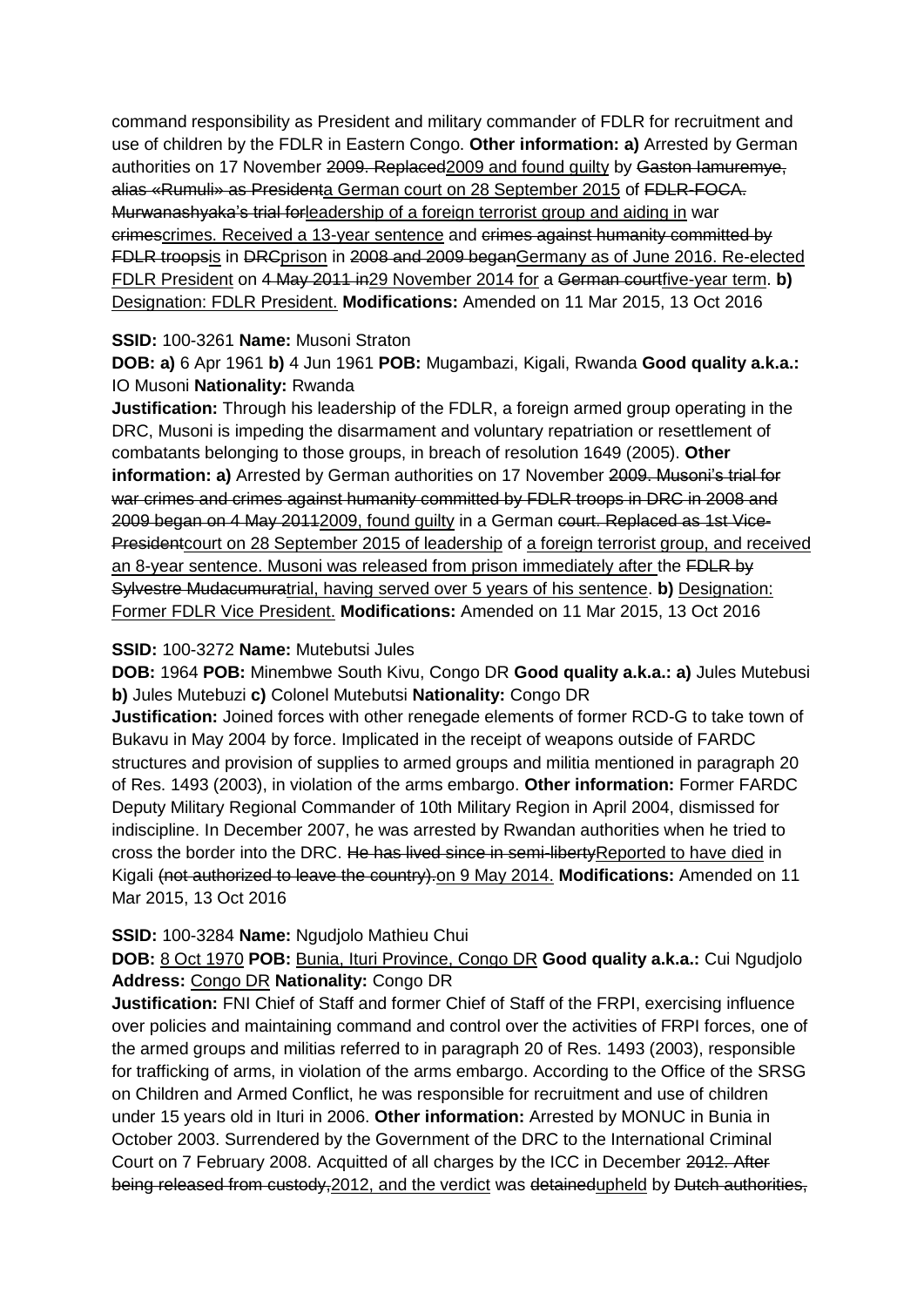command responsibility as President and military commander of FDLR for recruitment and use of children by the FDLR in Eastern Congo. **Other information: a)** Arrested by German authorities on 17 November 2009. Replaced 2009 and found guilty by Gaston lamuremye, alias «Rumuli» as Presidenta German court on 28 September 2015 of FDLR-FOCA. Murwanashyaka's trial forleadership of a foreign terrorist group and aiding in war crimescrimes. Received a 13-year sentence and crimes against humanity committed by FDLR troopsis in DRCprison in 2008 and 2009 beganGermany as of June 2016. Re-elected FDLR President on 4 May 2011 in29 November 2014 for a German courtfive-year term. **b)**  Designation: FDLR President. **Modifications:** Amended on 11 Mar 2015, 13 Oct 2016

## **SSID:** 100-3261 **Name:** Musoni Straton

**DOB: a)** 6 Apr 1961 **b)** 4 Jun 1961 **POB:** Mugambazi, Kigali, Rwanda **Good quality a.k.a.:**  IO Musoni **Nationality:** Rwanda

**Justification:** Through his leadership of the FDLR, a foreign armed group operating in the DRC, Musoni is impeding the disarmament and voluntary repatriation or resettlement of combatants belonging to those groups, in breach of resolution 1649 (2005). **Other information: a)** Arrested by German authorities on 17 November 2009. Musoni's trial for war crimes and crimes against humanity committed by FDLR troops in DRC in 2008 and 2009 began on 4 May 20112009, found guilty in a German court. Replaced as 1st Vice-Presidentcourt on 28 September 2015 of leadership of a foreign terrorist group, and received an 8-year sentence. Musoni was released from prison immediately after the FDLR by Sylvestre Mudacumuratrial, having served over 5 years of his sentence. **b)** Designation: Former FDLR Vice President. **Modifications:** Amended on 11 Mar 2015, 13 Oct 2016

## **SSID:** 100-3272 **Name:** Mutebutsi Jules

**DOB:** 1964 **POB:** Minembwe South Kivu, Congo DR **Good quality a.k.a.: a)** Jules Mutebusi **b)** Jules Mutebuzi **c)** Colonel Mutebutsi **Nationality:** Congo DR

**Justification:** Joined forces with other renegade elements of former RCD-G to take town of Bukavu in May 2004 by force. Implicated in the receipt of weapons outside of FARDC structures and provision of supplies to armed groups and militia mentioned in paragraph 20 of Res. 1493 (2003), in violation of the arms embargo. **Other information:** Former FARDC Deputy Military Regional Commander of 10th Military Region in April 2004, dismissed for indiscipline. In December 2007, he was arrested by Rwandan authorities when he tried to cross the border into the DRC. He has lived since in semi-liberty Reported to have died in Kigali (not authorized to leave the country).on 9 May 2014. **Modifications:** Amended on 11 Mar 2015, 13 Oct 2016

# **SSID:** 100-3284 **Name:** Ngudjolo Mathieu Chui

# **DOB:** 8 Oct 1970 **POB:** Bunia, Ituri Province, Congo DR **Good quality a.k.a.:** Cui Ngudjolo **Address:** Congo DR **Nationality:** Congo DR

**Justification:** FNI Chief of Staff and former Chief of Staff of the FRPI, exercising influence over policies and maintaining command and control over the activities of FRPI forces, one of the armed groups and militias referred to in paragraph 20 of Res. 1493 (2003), responsible for trafficking of arms, in violation of the arms embargo. According to the Office of the SRSG on Children and Armed Conflict, he was responsible for recruitment and use of children under 15 years old in Ituri in 2006. **Other information:** Arrested by MONUC in Bunia in October 2003. Surrendered by the Government of the DRC to the International Criminal Court on 7 February 2008. Acquitted of all charges by the ICC in December 2012. After being released from custody, 2012, and the verdict was detainedupheld by Dutch authorities,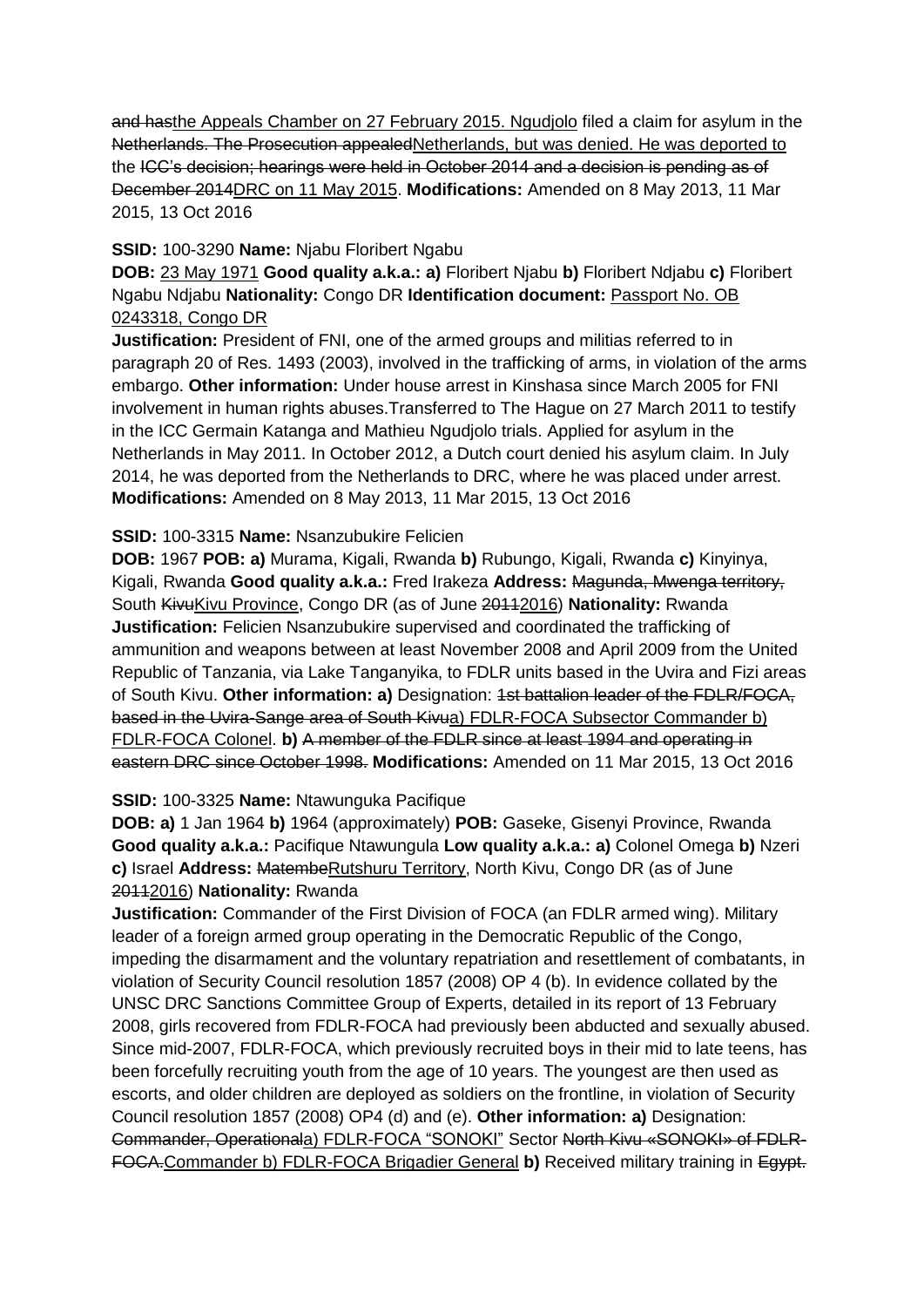and hasthe Appeals Chamber on 27 February 2015. Ngudjolo filed a claim for asylum in the Netherlands. The Prosecution appealedNetherlands, but was denied. He was deported to the ICC's decision; hearings were held in October 2014 and a decision is pending as of December 2014DRC on 11 May 2015. **Modifications:** Amended on 8 May 2013, 11 Mar 2015, 13 Oct 2016

## **SSID:** 100-3290 **Name:** Njabu Floribert Ngabu

**DOB:** 23 May 1971 **Good quality a.k.a.: a)** Floribert Njabu **b)** Floribert Ndjabu **c)** Floribert Ngabu Ndjabu **Nationality:** Congo DR **Identification document:** Passport No. OB 0243318, Congo DR

**Justification:** President of FNI, one of the armed groups and militias referred to in paragraph 20 of Res. 1493 (2003), involved in the trafficking of arms, in violation of the arms embargo. **Other information:** Under house arrest in Kinshasa since March 2005 for FNI involvement in human rights abuses.Transferred to The Hague on 27 March 2011 to testify in the ICC Germain Katanga and Mathieu Ngudjolo trials. Applied for asylum in the Netherlands in May 2011. In October 2012, a Dutch court denied his asylum claim. In July 2014, he was deported from the Netherlands to DRC, where he was placed under arrest. **Modifications:** Amended on 8 May 2013, 11 Mar 2015, 13 Oct 2016

## **SSID:** 100-3315 **Name:** Nsanzubukire Felicien

**DOB:** 1967 **POB: a)** Murama, Kigali, Rwanda **b)** Rubungo, Kigali, Rwanda **c)** Kinyinya, Kigali, Rwanda **Good quality a.k.a.:** Fred Irakeza **Address:** Magunda, Mwenga territory, South KivuKivu Province, Congo DR (as of June 20112016) Nationality: Rwanda **Justification:** Felicien Nsanzubukire supervised and coordinated the trafficking of ammunition and weapons between at least November 2008 and April 2009 from the United Republic of Tanzania, via Lake Tanganyika, to FDLR units based in the Uvira and Fizi areas of South Kivu. **Other information: a)** Designation: 1st battalion leader of the FDLR/FOCA, based in the Uvira-Sange area of South Kivua) FDLR-FOCA Subsector Commander b) FDLR-FOCA Colonel. **b)** A member of the FDLR since at least 1994 and operating in eastern DRC since October 1998. **Modifications:** Amended on 11 Mar 2015, 13 Oct 2016

#### **SSID:** 100-3325 **Name:** Ntawunguka Pacifique

**DOB: a)** 1 Jan 1964 **b)** 1964 (approximately) **POB:** Gaseke, Gisenyi Province, Rwanda **Good quality a.k.a.:** Pacifique Ntawungula **Low quality a.k.a.: a)** Colonel Omega **b)** Nzeri **c)** Israel **Address:** MatembeRutshuru Territory, North Kivu, Congo DR (as of June 20112016) **Nationality:** Rwanda

**Justification:** Commander of the First Division of FOCA (an FDLR armed wing). Military leader of a foreign armed group operating in the Democratic Republic of the Congo, impeding the disarmament and the voluntary repatriation and resettlement of combatants, in violation of Security Council resolution 1857 (2008) OP 4 (b). In evidence collated by the UNSC DRC Sanctions Committee Group of Experts, detailed in its report of 13 February 2008, girls recovered from FDLR-FOCA had previously been abducted and sexually abused. Since mid-2007, FDLR-FOCA, which previously recruited boys in their mid to late teens, has been forcefully recruiting youth from the age of 10 years. The youngest are then used as escorts, and older children are deployed as soldiers on the frontline, in violation of Security Council resolution 1857 (2008) OP4 (d) and (e). **Other information: a)** Designation: Commander, Operationala) FDLR-FOCA "SONOKI" Sector North Kivu «SONOKI» of FDLR-FOCA.Commander b) FDLR-FOCA Brigadier General **b)** Received military training in Egypt.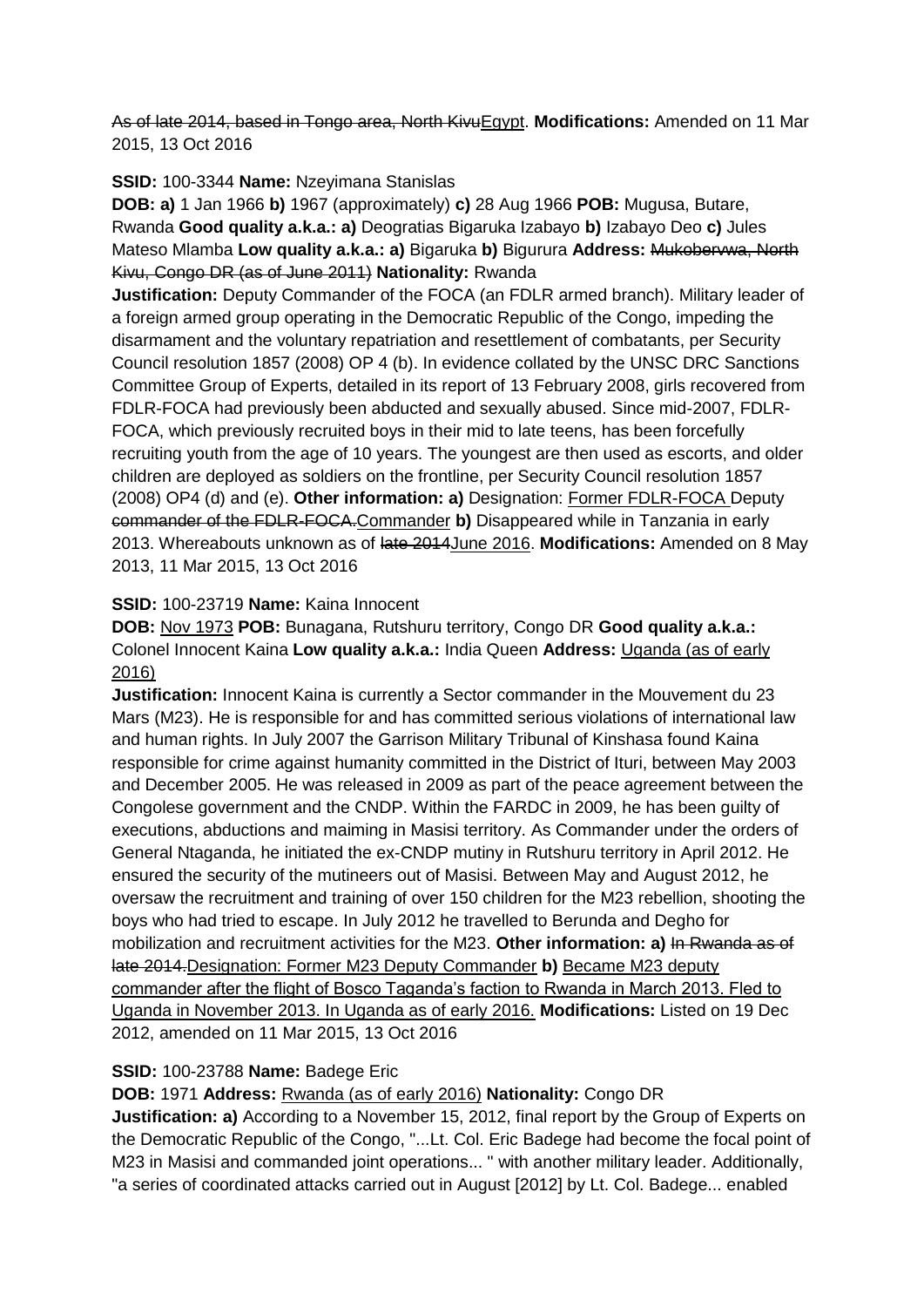As of late 2014, based in Tongo area, North KivuEgypt. **Modifications:** Amended on 11 Mar 2015, 13 Oct 2016

**SSID:** 100-3344 **Name:** Nzeyimana Stanislas

**DOB: a)** 1 Jan 1966 **b)** 1967 (approximately) **c)** 28 Aug 1966 **POB:** Mugusa, Butare, Rwanda **Good quality a.k.a.: a)** Deogratias Bigaruka Izabayo **b)** Izabayo Deo **c)** Jules Mateso Mlamba **Low quality a.k.a.: a)** Bigaruka **b)** Bigurura **Address:** Mukobervwa, North Kivu, Congo DR (as of June 2011) **Nationality:** Rwanda

**Justification:** Deputy Commander of the FOCA (an FDLR armed branch). Military leader of a foreign armed group operating in the Democratic Republic of the Congo, impeding the disarmament and the voluntary repatriation and resettlement of combatants, per Security Council resolution 1857 (2008) OP 4 (b). In evidence collated by the UNSC DRC Sanctions Committee Group of Experts, detailed in its report of 13 February 2008, girls recovered from FDLR-FOCA had previously been abducted and sexually abused. Since mid-2007, FDLR-FOCA, which previously recruited boys in their mid to late teens, has been forcefully recruiting youth from the age of 10 years. The youngest are then used as escorts, and older children are deployed as soldiers on the frontline, per Security Council resolution 1857 (2008) OP4 (d) and (e). **Other information: a)** Designation: Former FDLR-FOCA Deputy commander of the FDLR-FOCA.Commander **b)** Disappeared while in Tanzania in early 2013. Whereabouts unknown as of late 2014June 2016. **Modifications:** Amended on 8 May 2013, 11 Mar 2015, 13 Oct 2016

# **SSID:** 100-23719 **Name:** Kaina Innocent

**DOB:** Nov 1973 **POB:** Bunagana, Rutshuru territory, Congo DR **Good quality a.k.a.:**  Colonel Innocent Kaina **Low quality a.k.a.:** India Queen **Address:** Uganda (as of early 2016)

**Justification:** Innocent Kaina is currently a Sector commander in the Mouvement du 23 Mars (M23). He is responsible for and has committed serious violations of international law and human rights. In July 2007 the Garrison Military Tribunal of Kinshasa found Kaina responsible for crime against humanity committed in the District of Ituri, between May 2003 and December 2005. He was released in 2009 as part of the peace agreement between the Congolese government and the CNDP. Within the FARDC in 2009, he has been guilty of executions, abductions and maiming in Masisi territory. As Commander under the orders of General Ntaganda, he initiated the ex-CNDP mutiny in Rutshuru territory in April 2012. He ensured the security of the mutineers out of Masisi. Between May and August 2012, he oversaw the recruitment and training of over 150 children for the M23 rebellion, shooting the boys who had tried to escape. In July 2012 he travelled to Berunda and Degho for mobilization and recruitment activities for the M23. **Other information: a)** In Rwanda as of late 2014.Designation: Former M23 Deputy Commander **b)** Became M23 deputy commander after the flight of Bosco Taganda's faction to Rwanda in March 2013. Fled to Uganda in November 2013. In Uganda as of early 2016. **Modifications:** Listed on 19 Dec 2012, amended on 11 Mar 2015, 13 Oct 2016

# **SSID:** 100-23788 **Name:** Badege Eric

**DOB:** 1971 **Address:** Rwanda (as of early 2016) **Nationality:** Congo DR

**Justification: a)** According to a November 15, 2012, final report by the Group of Experts on the Democratic Republic of the Congo, "...Lt. Col. Eric Badege had become the focal point of M23 in Masisi and commanded joint operations... " with another military leader. Additionally, "a series of coordinated attacks carried out in August [2012] by Lt. Col. Badege... enabled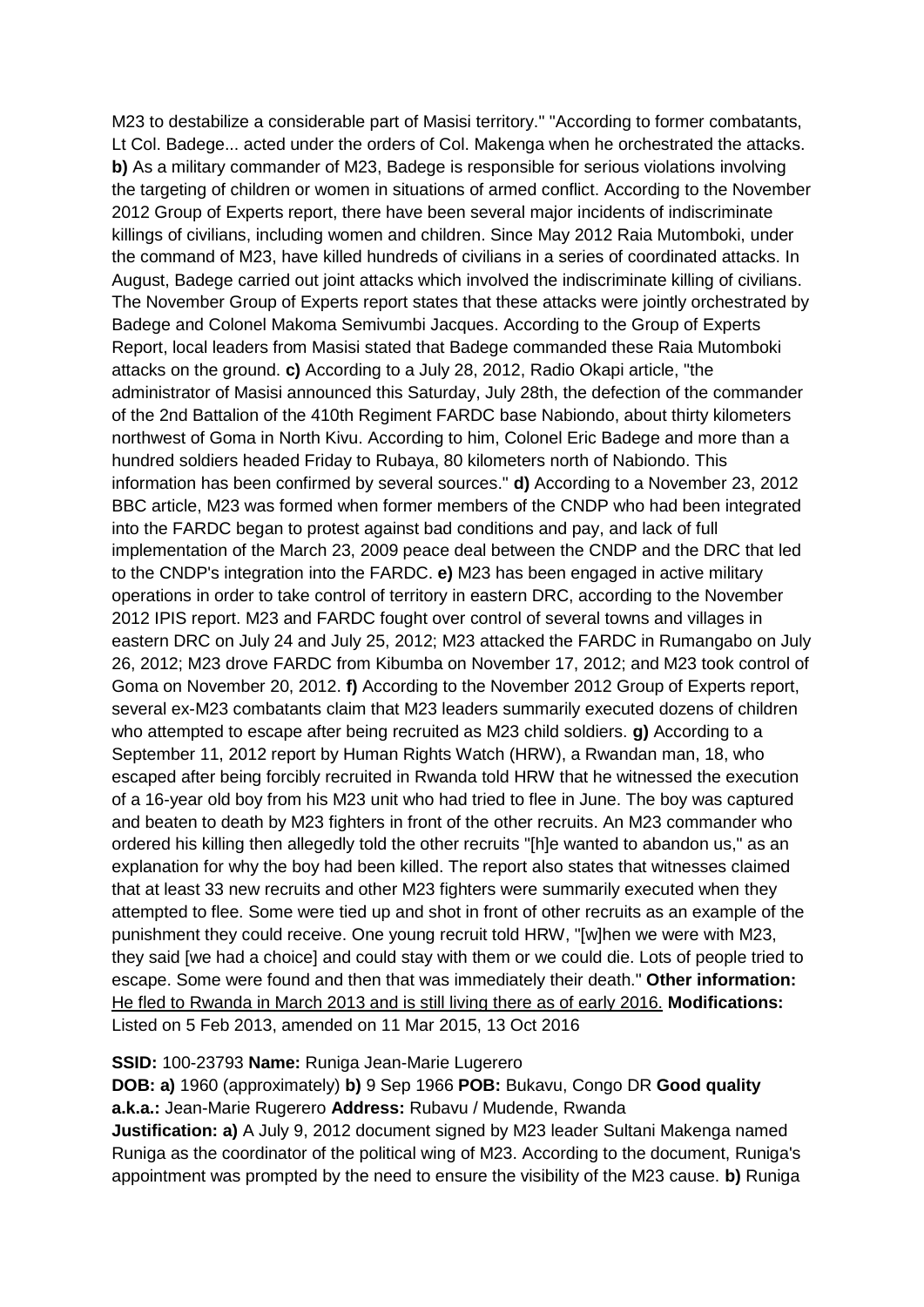M23 to destabilize a considerable part of Masisi territory." "According to former combatants, Lt Col. Badege... acted under the orders of Col. Makenga when he orchestrated the attacks. **b)** As a military commander of M23, Badege is responsible for serious violations involving the targeting of children or women in situations of armed conflict. According to the November 2012 Group of Experts report, there have been several major incidents of indiscriminate killings of civilians, including women and children. Since May 2012 Raia Mutomboki, under the command of M23, have killed hundreds of civilians in a series of coordinated attacks. In August, Badege carried out joint attacks which involved the indiscriminate killing of civilians. The November Group of Experts report states that these attacks were jointly orchestrated by Badege and Colonel Makoma Semivumbi Jacques. According to the Group of Experts Report, local leaders from Masisi stated that Badege commanded these Raia Mutomboki attacks on the ground. **c)** According to a July 28, 2012, Radio Okapi article, "the administrator of Masisi announced this Saturday, July 28th, the defection of the commander of the 2nd Battalion of the 410th Regiment FARDC base Nabiondo, about thirty kilometers northwest of Goma in North Kivu. According to him, Colonel Eric Badege and more than a hundred soldiers headed Friday to Rubaya, 80 kilometers north of Nabiondo. This information has been confirmed by several sources." **d)** According to a November 23, 2012 BBC article, M23 was formed when former members of the CNDP who had been integrated into the FARDC began to protest against bad conditions and pay, and lack of full implementation of the March 23, 2009 peace deal between the CNDP and the DRC that led to the CNDP's integration into the FARDC. **e)** M23 has been engaged in active military operations in order to take control of territory in eastern DRC, according to the November 2012 IPIS report. M23 and FARDC fought over control of several towns and villages in eastern DRC on July 24 and July 25, 2012; M23 attacked the FARDC in Rumangabo on July 26, 2012; M23 drove FARDC from Kibumba on November 17, 2012; and M23 took control of Goma on November 20, 2012. **f)** According to the November 2012 Group of Experts report, several ex-M23 combatants claim that M23 leaders summarily executed dozens of children who attempted to escape after being recruited as M23 child soldiers. **g)** According to a September 11, 2012 report by Human Rights Watch (HRW), a Rwandan man, 18, who escaped after being forcibly recruited in Rwanda told HRW that he witnessed the execution of a 16-year old boy from his M23 unit who had tried to flee in June. The boy was captured and beaten to death by M23 fighters in front of the other recruits. An M23 commander who ordered his killing then allegedly told the other recruits "[h]e wanted to abandon us," as an explanation for why the boy had been killed. The report also states that witnesses claimed that at least 33 new recruits and other M23 fighters were summarily executed when they attempted to flee. Some were tied up and shot in front of other recruits as an example of the punishment they could receive. One young recruit told HRW, "[w]hen we were with M23, they said [we had a choice] and could stay with them or we could die. Lots of people tried to escape. Some were found and then that was immediately their death." **Other information:** He fled to Rwanda in March 2013 and is still living there as of early 2016. **Modifications:**  Listed on 5 Feb 2013, amended on 11 Mar 2015, 13 Oct 2016

#### **SSID:** 100-23793 **Name:** Runiga Jean-Marie Lugerero

**DOB: a)** 1960 (approximately) **b)** 9 Sep 1966 **POB:** Bukavu, Congo DR **Good quality a.k.a.:** Jean-Marie Rugerero **Address:** Rubavu / Mudende, Rwanda

**Justification: a)** A July 9, 2012 document signed by M23 leader Sultani Makenga named Runiga as the coordinator of the political wing of M23. According to the document, Runiga's appointment was prompted by the need to ensure the visibility of the M23 cause. **b)** Runiga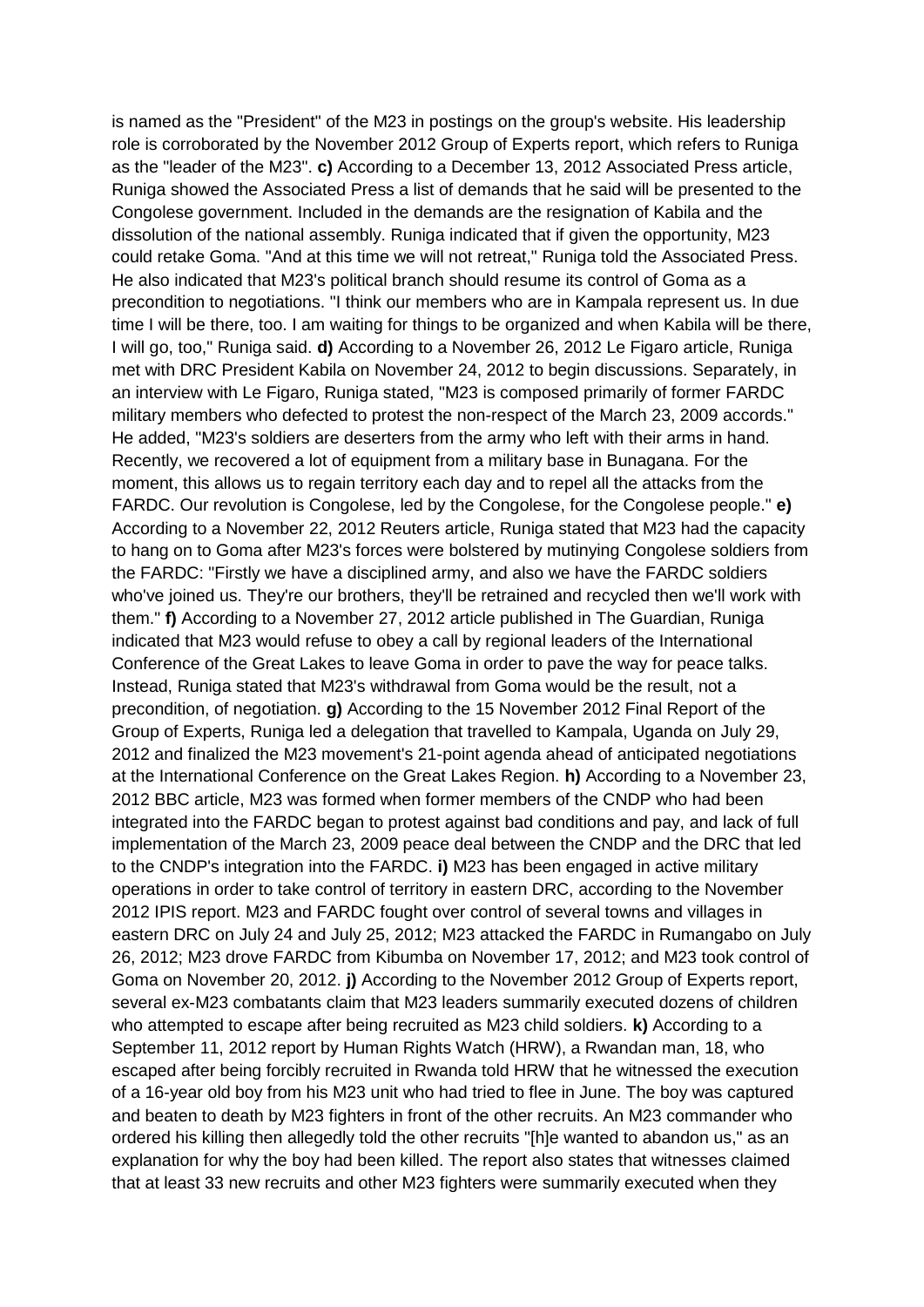is named as the "President" of the M23 in postings on the group's website. His leadership role is corroborated by the November 2012 Group of Experts report, which refers to Runiga as the "leader of the M23". **c)** According to a December 13, 2012 Associated Press article, Runiga showed the Associated Press a list of demands that he said will be presented to the Congolese government. Included in the demands are the resignation of Kabila and the dissolution of the national assembly. Runiga indicated that if given the opportunity, M23 could retake Goma. "And at this time we will not retreat," Runiga told the Associated Press. He also indicated that M23's political branch should resume its control of Goma as a precondition to negotiations. "I think our members who are in Kampala represent us. In due time I will be there, too. I am waiting for things to be organized and when Kabila will be there, I will go, too," Runiga said. **d)** According to a November 26, 2012 Le Figaro article, Runiga met with DRC President Kabila on November 24, 2012 to begin discussions. Separately, in an interview with Le Figaro, Runiga stated, "M23 is composed primarily of former FARDC military members who defected to protest the non-respect of the March 23, 2009 accords." He added, "M23's soldiers are deserters from the army who left with their arms in hand. Recently, we recovered a lot of equipment from a military base in Bunagana. For the moment, this allows us to regain territory each day and to repel all the attacks from the FARDC. Our revolution is Congolese, led by the Congolese, for the Congolese people." **e)**  According to a November 22, 2012 Reuters article, Runiga stated that M23 had the capacity to hang on to Goma after M23's forces were bolstered by mutinying Congolese soldiers from the FARDC: "Firstly we have a disciplined army, and also we have the FARDC soldiers who've joined us. They're our brothers, they'll be retrained and recycled then we'll work with them." **f)** According to a November 27, 2012 article published in The Guardian, Runiga indicated that M23 would refuse to obey a call by regional leaders of the International Conference of the Great Lakes to leave Goma in order to pave the way for peace talks. Instead, Runiga stated that M23's withdrawal from Goma would be the result, not a precondition, of negotiation. **g)** According to the 15 November 2012 Final Report of the Group of Experts, Runiga led a delegation that travelled to Kampala, Uganda on July 29, 2012 and finalized the M23 movement's 21-point agenda ahead of anticipated negotiations at the International Conference on the Great Lakes Region. **h)** According to a November 23, 2012 BBC article, M23 was formed when former members of the CNDP who had been integrated into the FARDC began to protest against bad conditions and pay, and lack of full implementation of the March 23, 2009 peace deal between the CNDP and the DRC that led to the CNDP's integration into the FARDC. **i)** M23 has been engaged in active military operations in order to take control of territory in eastern DRC, according to the November 2012 IPIS report. M23 and FARDC fought over control of several towns and villages in eastern DRC on July 24 and July 25, 2012; M23 attacked the FARDC in Rumangabo on July 26, 2012; M23 drove FARDC from Kibumba on November 17, 2012; and M23 took control of Goma on November 20, 2012. **j)** According to the November 2012 Group of Experts report, several ex-M23 combatants claim that M23 leaders summarily executed dozens of children who attempted to escape after being recruited as M23 child soldiers. **k)** According to a September 11, 2012 report by Human Rights Watch (HRW), a Rwandan man, 18, who escaped after being forcibly recruited in Rwanda told HRW that he witnessed the execution of a 16-year old boy from his M23 unit who had tried to flee in June. The boy was captured and beaten to death by M23 fighters in front of the other recruits. An M23 commander who ordered his killing then allegedly told the other recruits "[h]e wanted to abandon us," as an explanation for why the boy had been killed. The report also states that witnesses claimed that at least 33 new recruits and other M23 fighters were summarily executed when they